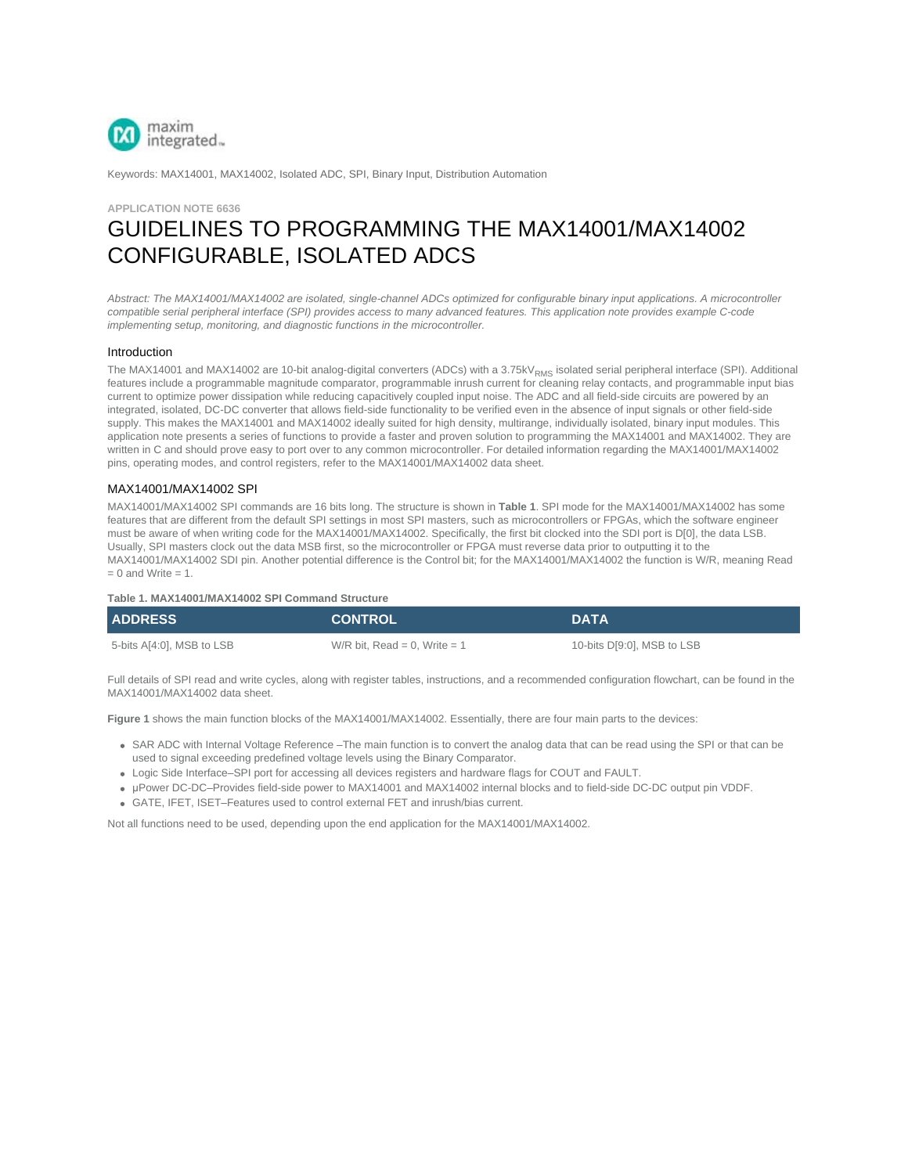

Keywords: MAX14001, MAX14002, Isolated ADC, SPI, Binary Input, Distribution Automation

## **APPLICATION NOTE 6636**

# GUIDELINES TO PROGRAMMING THE MAX14001/MAX14002 CONFIGURABLE, ISOLATED ADCS

*Abstract: The MAX14001/MAX14002 are isolated, single-channel ADCs optimized for configurable binary input applications. A microcontroller compatible serial peripheral interface (SPI) provides access to many advanced features. This application note provides example C-code implementing setup, monitoring, and diagnostic functions in the microcontroller.*

#### Introduction

The MAX14001 and MAX14002 are 10-bit analog-digital converters (ADCs) with a 3.75kV<sub>RMS</sub> isolated serial peripheral interface (SPI). Additional features include a programmable magnitude comparator, programmable inrush current for cleaning relay contacts, and programmable input bias current to optimize power dissipation while reducing capacitively coupled input noise. The ADC and all field-side circuits are powered by an integrated, isolated, DC-DC converter that allows field-side functionality to be verified even in the absence of input signals or other field-side supply. This makes the MAX14001 and MAX14002 ideally suited for high density, multirange, individually isolated, binary input modules. This application note presents a series of functions to provide a faster and proven solution to programming the MAX14001 and MAX14002. They are written in C and should prove easy to port over to any common microcontroller. For detailed information regarding the MAX14001/MAX14002 pins, operating modes, and control registers, refer to the MAX14001/MAX14002 data sheet.

### MAX14001/MAX14002 SPI

MAX14001/MAX14002 SPI commands are 16 bits long. The structure is shown in **Table 1**. SPI mode for the MAX14001/MAX14002 has some features that are different from the default SPI settings in most SPI masters, such as microcontrollers or FPGAs, which the software engineer must be aware of when writing code for the MAX14001/MAX14002. Specifically, the first bit clocked into the SDI port is D[0], the data LSB. Usually, SPI masters clock out the data MSB first, so the microcontroller or FPGA must reverse data prior to outputting it to the MAX14001/MAX14002 SDI pin. Another potential difference is the Control bit; for the MAX14001/MAX14002 the function is W/R, meaning Read  $= 0$  and Write  $= 1$ .

#### **Table 1. MAX14001/MAX14002 SPI Command Structure**

| <b>ADDRESS</b>            | <b>CONTROL</b>               | <b>DATA</b>                |
|---------------------------|------------------------------|----------------------------|
| 5-bits A[4:0], MSB to LSB | W/R bit. Read = 0. Write = 1 | 10-bits D[9:0], MSB to LSB |

Full details of SPI read and write cycles, along with register tables, instructions, and a recommended configuration flowchart, can be found in the MAX14001/MAX14002 data sheet.

**Figure 1** shows the main function blocks of the MAX14001/MAX14002. Essentially, there are four main parts to the devices:

- SAR ADC with Internal Voltage Reference –The main function is to convert the analog data that can be read using the SPI or that can be used to signal exceeding predefined voltage levels using the Binary Comparator.
- Logic Side Interface–SPI port for accessing all devices registers and hardware flags for COUT and FAULT.
- μPower DC-DC–Provides field-side power to MAX14001 and MAX14002 internal blocks and to field-side DC-DC output pin VDDF.
- GATE, IFET, ISET–Features used to control external FET and inrush/bias current.

Not all functions need to be used, depending upon the end application for the MAX14001/MAX14002.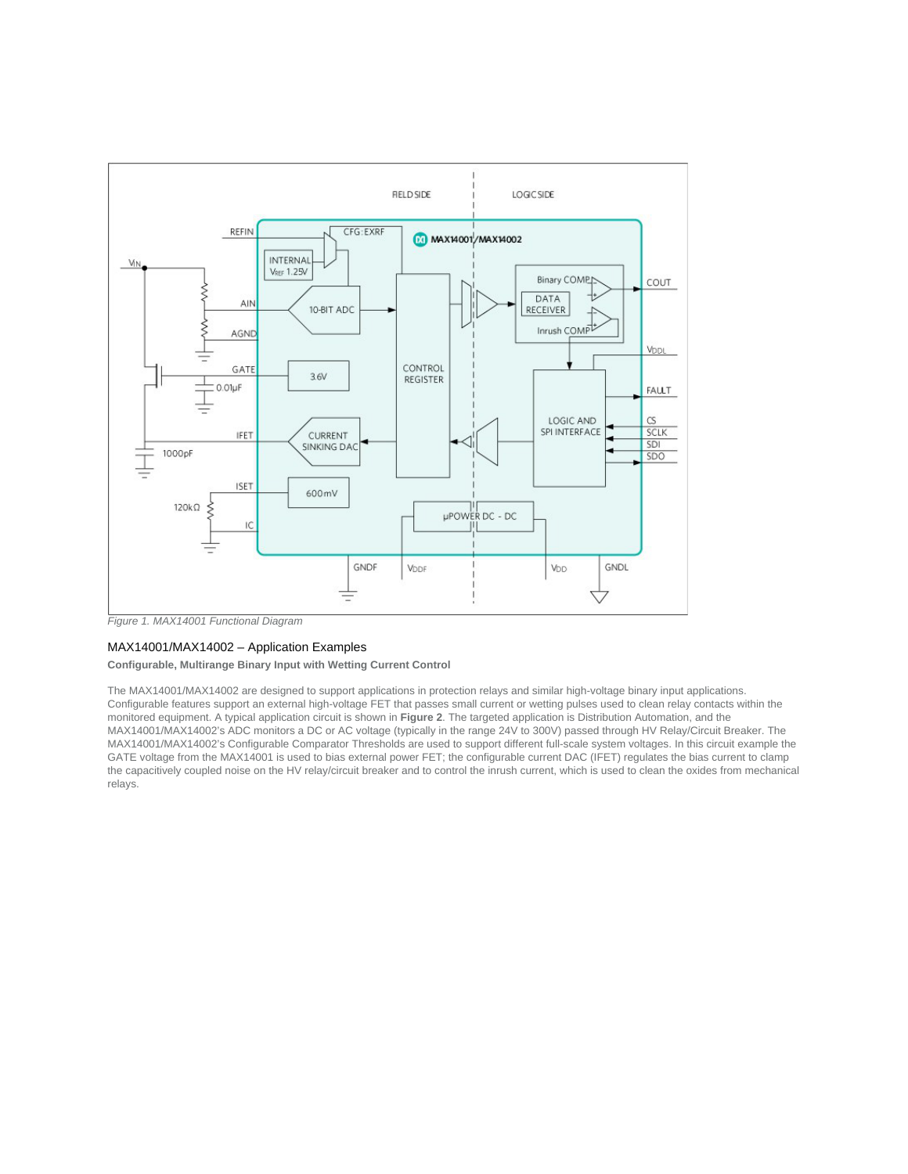

*Figure 1. MAX14001 Functional Diagram*

# MAX14001/MAX14002 – Application Examples

#### **Configurable, Multirange Binary Input with Wetting Current Control**

The MAX14001/MAX14002 are designed to support applications in protection relays and similar high-voltage binary input applications. Configurable features support an external high-voltage FET that passes small current or wetting pulses used to clean relay contacts within the monitored equipment. A typical application circuit is shown in **Figure 2**. The targeted application is Distribution Automation, and the MAX14001/MAX14002's ADC monitors a DC or AC voltage (typically in the range 24V to 300V) passed through HV Relay/Circuit Breaker. The MAX14001/MAX14002's Configurable Comparator Thresholds are used to support different full-scale system voltages. In this circuit example the GATE voltage from the MAX14001 is used to bias external power FET; the configurable current DAC (IFET) regulates the bias current to clamp the capacitively coupled noise on the HV relay/circuit breaker and to control the inrush current, which is used to clean the oxides from mechanical relays.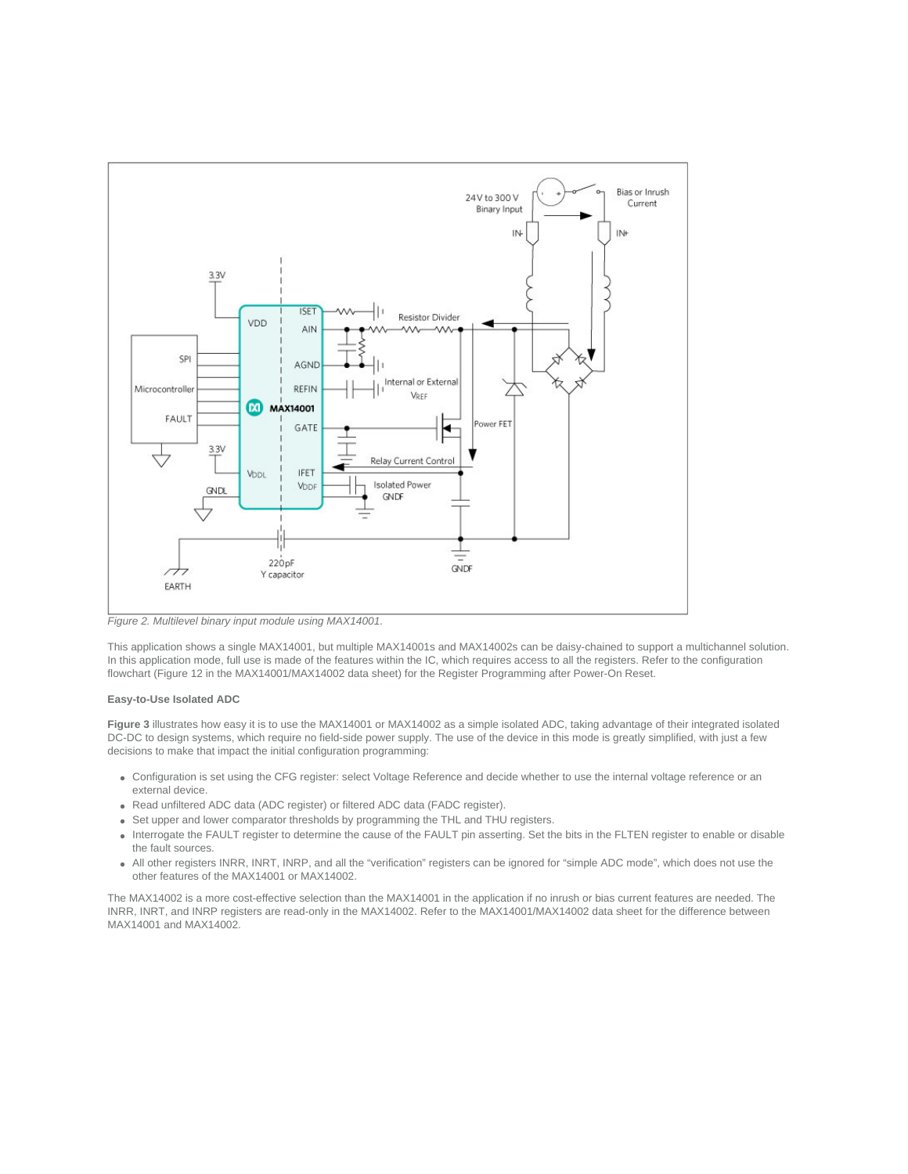

*Figure 2. Multilevel binary input module using MAX14001.*

This application shows a single MAX14001, but multiple MAX14001s and MAX14002s can be daisy-chained to support a multichannel solution. In this application mode, full use is made of the features within the IC, which requires access to all the registers. Refer to the configuration flowchart (Figure 12 in the MAX14001/MAX14002 data sheet) for the Register Programming after Power-On Reset.

## **Easy-to-Use Isolated ADC**

**Figure 3** illustrates how easy it is to use the MAX14001 or MAX14002 as a simple isolated ADC, taking advantage of their integrated isolated DC-DC to design systems, which require no field-side power supply. The use of the device in this mode is greatly simplified, with just a few decisions to make that impact the initial configuration programming:

- Configuration is set using the CFG register: select Voltage Reference and decide whether to use the internal voltage reference or an external device.
- Read unfiltered ADC data (ADC register) or filtered ADC data (FADC register).
- Set upper and lower comparator thresholds by programming the THL and THU registers.
- Interrogate the FAULT register to determine the cause of the FAULT pin asserting. Set the bits in the FLTEN register to enable or disable the fault sources.
- All other registers INRR, INRT, INRP, and all the "verification" registers can be ignored for "simple ADC mode", which does not use the other features of the MAX14001 or MAX14002.

The MAX14002 is a more cost-effective selection than the MAX14001 in the application if no inrush or bias current features are needed. The INRR, INRT, and INRP registers are read-only in the MAX14002. Refer to the MAX14001/MAX14002 data sheet for the difference between MAX14001 and MAX14002.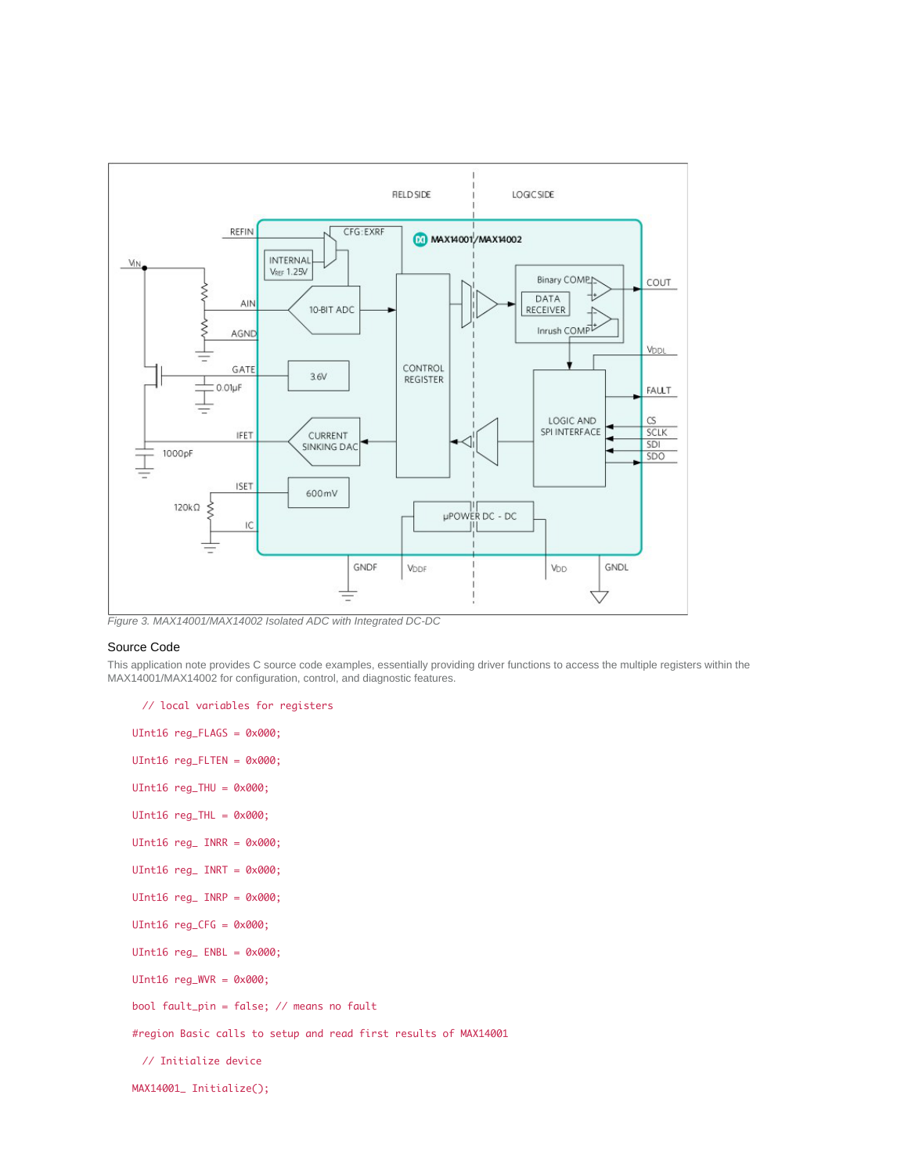

*Figure 3. MAX14001/MAX14002 Isolated ADC with Integrated DC-DC*

## Source Code

This application note provides C source code examples, essentially providing driver functions to access the multiple registers within the MAX14001/MAX14002 for configuration, control, and diagnostic features.

// local variables for registers

UInt16 reg\_FLAGS = 0x000; UInt16 reg\_FLTEN = 0x000; UInt16  $reg\_THU = 0x000;$  $UInt16 reg_{IHL} = 0x000;$ UInt16  $reg$  INRR =  $0 \times 000$ ; UInt16 reg\_ INRT = 0x000; UInt16  $reg$  INRP =  $0 \times 000$ ; UInt16 reg\_CFG = 0x000; UInt16 reg\_ ENBL = 0x000; UInt16  $reg_WVR = 0 \times 000$ ; bool fault\_pin = false; // means no fault #region Basic calls to setup and read first results of MAX14001 // Initialize device MAX14001\_ Initialize();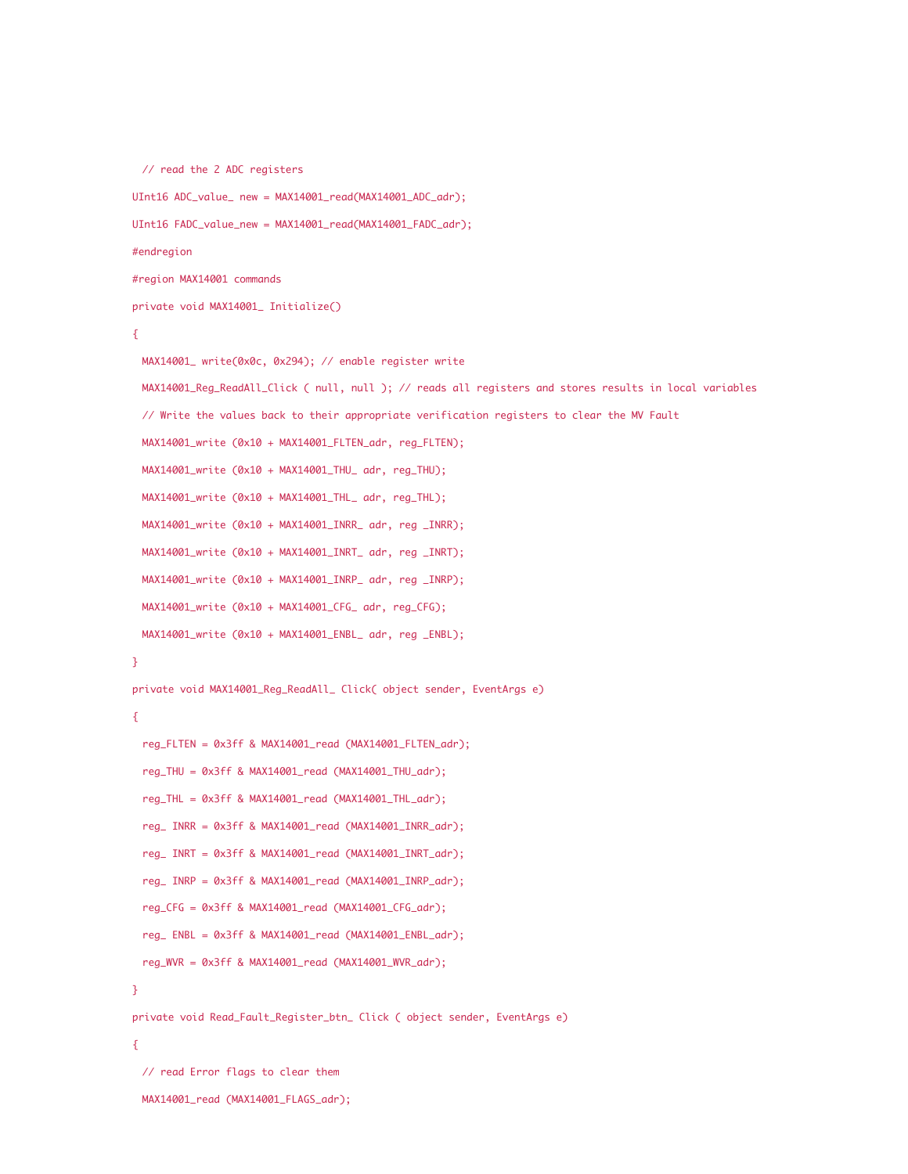```
// read the 2 ADC registers
UInt16 ADC_value_ new = MAX14001_read(MAX14001_ADC_adr);
UInt16 FADC_value_new = MAX14001_read(MAX14001_FADC_adr);
#endregion
#region MAX14001 commands
private void MAX14001_ Initialize()
{
 MAX14001_ write(0x0c, 0x294); // enable register write
 MAX14001_Reg_ReadAll_Click ( null, null ); // reads all registers and stores results in local variables
 // Write the values back to their appropriate verification registers to clear the MV Fault
 MAX14001_write (0x10 + MAX14001_FLTEN_adr, reg_FLTEN);
 MAX14001_write (0x10 + MAX14001_THU_ adr, reg_THU);
 MAX14001_write (0x10 + MAX14001_THL_ adr, reg_THL);
 MAX14001_write (0x10 + MAX14001_INRR_ adr, reg _INRR);
 MAX14001_write (0x10 + MAX14001_INRT_ adr, reg _INRT);
 MAX14001_write (0x10 + MAX14001_INRP_ adr, reg _INRP);
 MAX14001_write (0x10 + MAX14001_CFG_ adr, reg_CFG);
 MAX14001_write (0x10 + MAX14001_ENBL_ adr, reg _ENBL);
}
private void MAX14001_Reg_ReadAll_ Click( object sender, EventArgs e)
{
 reg_FLTEN = 0x3ff & MAX14001_read (MAX14001_FLTEN_adr);
 reg_THU = 0x3ff & MAX14001_read (MAX14001_THU_adr);
 reg_THL = 0x3ff & MAX14001_read (MAX14001_THL_adr);
  reg_ INRR = 0x3ff & MAX14001_read (MAX14001_INRR_adr);
  reg_ INRT = 0x3ff & MAX14001_read (MAX14001_INRT_adr);
  reg_ INRP = 0x3ff & MAX14001_read (MAX14001_INRP_adr);
 reg_CFG = 0x3ff & MAX14001_read (MAX14001_CFG_adr);
 reg_ ENBL = 0x3ff & MAX14001_read (MAX14001_ENBL_adr);
  reg_WVR = 0x3ff & MAX14001_read (MAX14001_WVR_adr);
}
private void Read_Fault_Register_btn_ Click ( object sender, EventArgs e)
{
 // read Error flags to clear them
```

```
MAX14001_read (MAX14001_FLAGS_adr);
```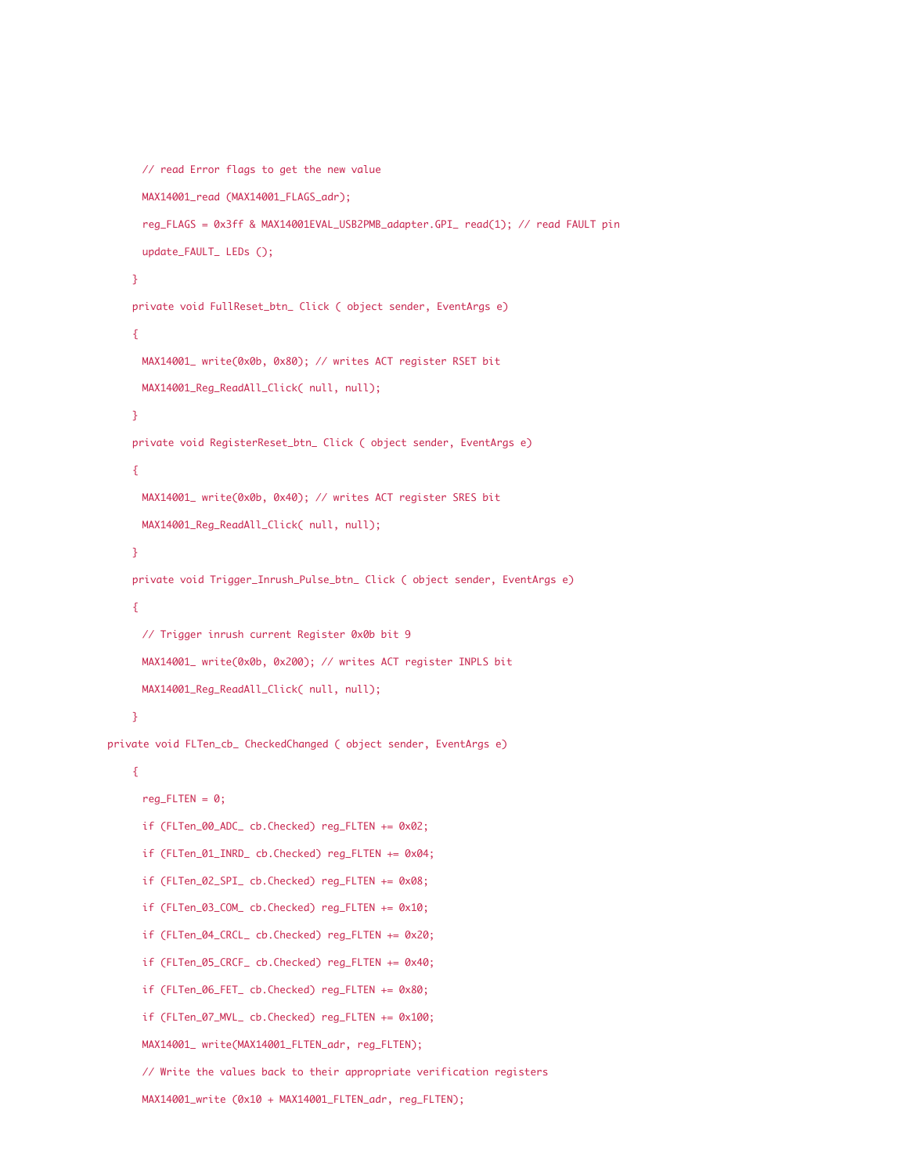```
// read Error flags to get the new value
     MAX14001_read (MAX14001_FLAGS_adr);
     reg_FLAGS = 0x3ff & MAX14001EVAL_USB2PMB_adapter.GPI_ read(1); // read FAULT pin
     update_FAULT_ LEDs ();
    }
    private void FullReset_btn_ Click ( object sender, EventArgs e)
    {
     MAX14001_ write(0x0b, 0x80); // writes ACT register RSET bit
     MAX14001_Reg_ReadAll_Click( null, null);
    }
    private void RegisterReset_btn_ Click ( object sender, EventArgs e)
    {
     MAX14001_ write(0x0b, 0x40); // writes ACT register SRES bit
     MAX14001_Reg_ReadAll_Click( null, null);
    }
    private void Trigger_Inrush_Pulse_btn_ Click ( object sender, EventArgs e)
    {
     // Trigger inrush current Register 0x0b bit 9
     MAX14001_ write(0x0b, 0x200); // writes ACT register INPLS bit
     MAX14001_Reg_ReadAll_Click( null, null);
    }
private void FLTen_cb_ CheckedChanged ( object sender, EventArgs e)
    {
     reg_FLTEN = 0;if (FLTen_00_ADC_ cb.Checked) reg_FLTEN += 0x02;
     if (FLTen_01_INRD_ cb.Checked) reg_FLTEN += 0x04;
     if (FLTen_02_SPI_ cb.Checked) reg_FLTEN += 0x08;
     if (FLTen_03_COM_ cb.Checked) reg_FLTEN += 0x10;
     if (FLTen_04_CRCL_ cb.Checked) reg_FLTEN += 0x20;
     if (FLTen_05_CRCF_ cb.Checked) reg_FLTEN += 0x40;
     if (FLTen_06_FET_ cb.Checked) reg_FLTEN += 0x80;
     if (FLTen_07_MVL_ cb.Checked) reg_FLTEN += 0x100;
     MAX14001_ write(MAX14001_FLTEN_adr, reg_FLTEN);
     // Write the values back to their appropriate verification registers
     MAX14001_write (0x10 + MAX14001_FLTEN_adr, reg_FLTEN);
```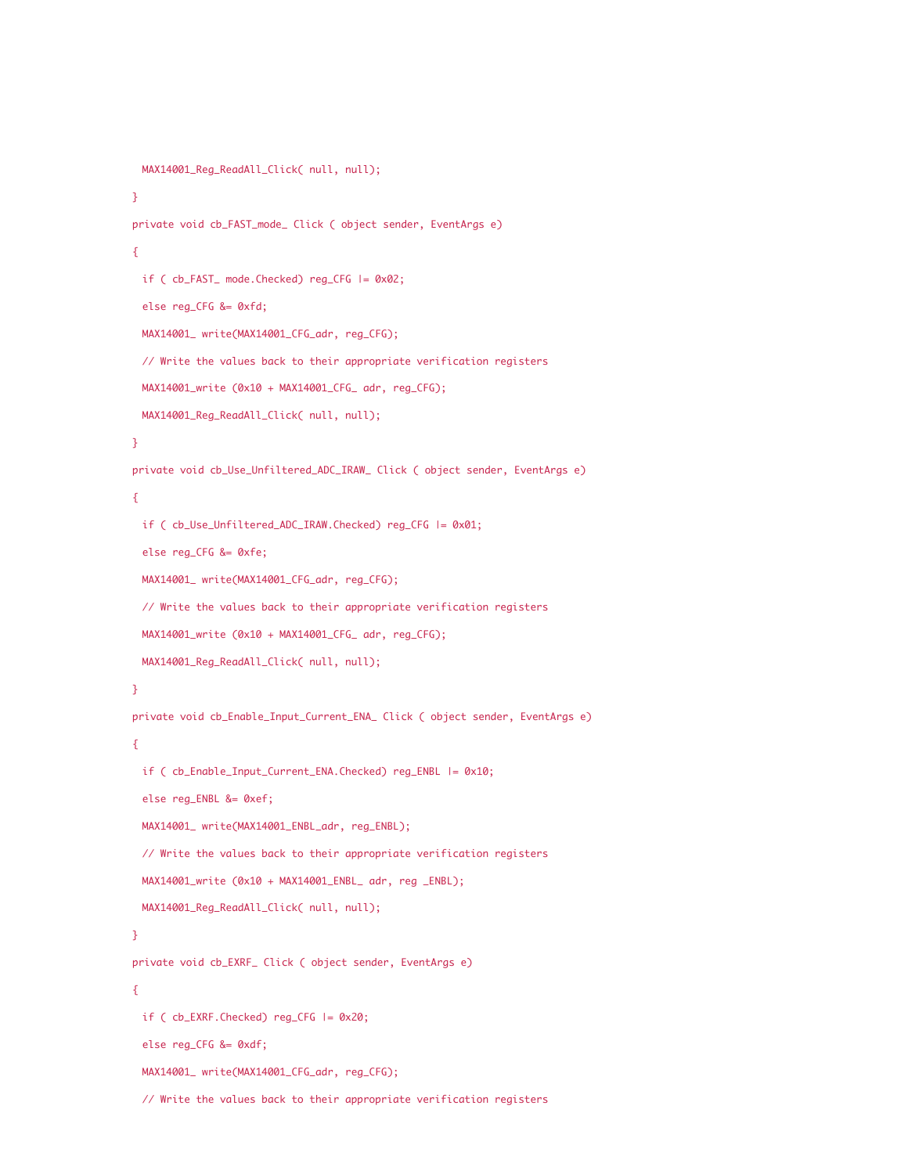```
MAX14001_Reg_ReadAll_Click( null, null);
}
private void cb_FAST_mode_ Click ( object sender, EventArgs e)
{
 if ( cb_FAST_ mode.Checked) reg_CFG |= 0x02;
 else reg_CFG &= 0xfd;
 MAX14001_ write(MAX14001_CFG_adr, reg_CFG);
 // Write the values back to their appropriate verification registers
 MAX14001_write (0x10 + MAX14001_CFG_ adr, reg_CFG);
 MAX14001_Reg_ReadAll_Click( null, null);
}
private void cb_Use_Unfiltered_ADC_IRAW_ Click ( object sender, EventArgs e)
{
 if ( cb_Use_Unfiltered_ADC_IRAW.Checked) reg_CFG |= 0x01;
 else reg_CFG &= 0xfe;
 MAX14001_ write(MAX14001_CFG_adr, reg_CFG);
 // Write the values back to their appropriate verification registers
 MAX14001_write (0x10 + MAX14001_CFG_ adr, reg_CFG);
 MAX14001_Reg_ReadAll_Click( null, null);
}
private void cb_Enable_Input_Current_ENA_ Click ( object sender, EventArgs e)
{
 if ( cb_Enable_Input_Current_ENA.Checked) reg_ENBL |= 0x10;
 else reg_ENBL &= 0xef;
 MAX14001_ write(MAX14001_ENBL_adr, reg_ENBL);
 // Write the values back to their appropriate verification registers
 MAX14001_write (0x10 + MAX14001_ENBL_ adr, reg _ENBL);
 MAX14001_Reg_ReadAll_Click( null, null);
}
private void cb_EXRF_ Click ( object sender, EventArgs e)
{
 if ( cb_EXRF.Checked) reg_CFG |= 0x20;
 else reg_CFG &= 0xdf;
 MAX14001_ write(MAX14001_CFG_adr, reg_CFG);
```

```
// Write the values back to their appropriate verification registers
```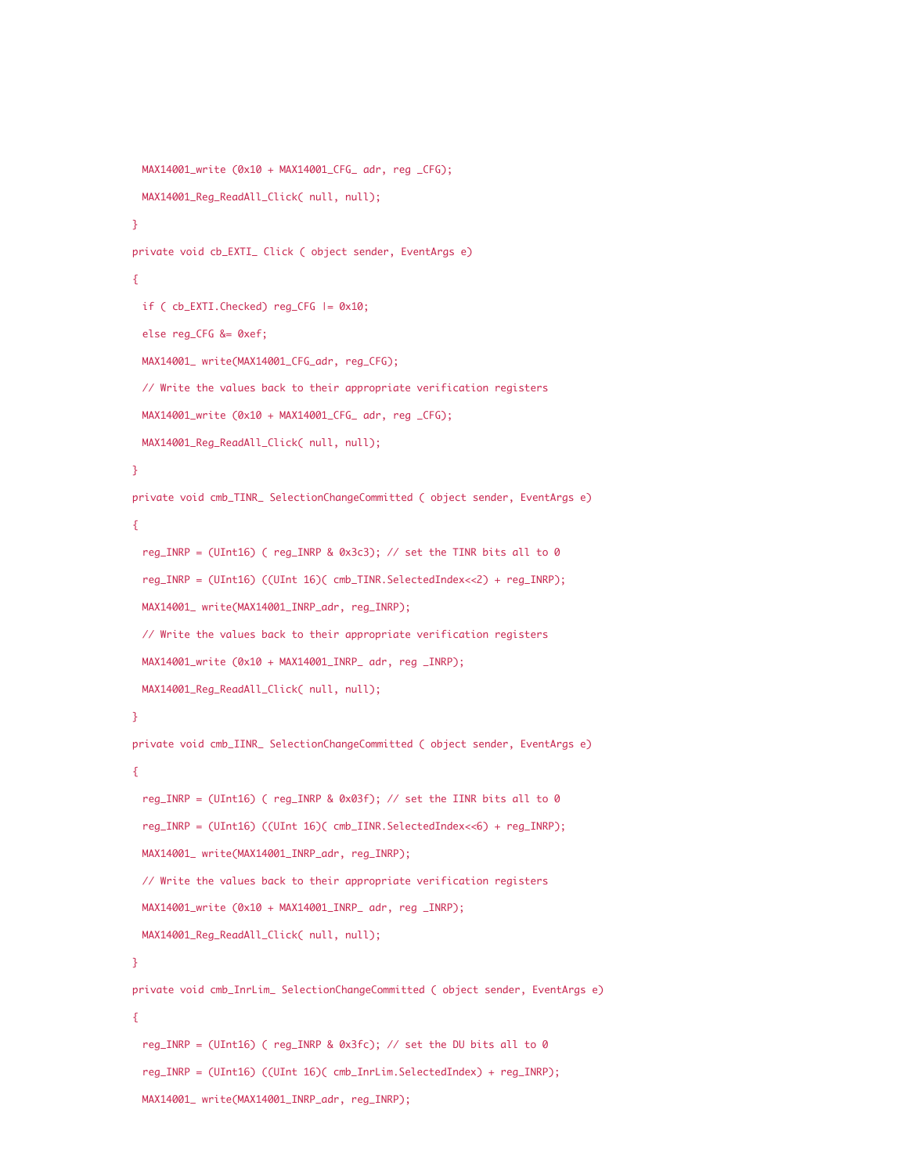```
MAX14001_write (0x10 + MAX14001_CFG_ adr, reg _CFG);
 MAX14001_Reg_ReadAll_Click( null, null);
}
private void cb_EXTI_ Click ( object sender, EventArgs e)
{
 if ( cb_EXTI.Checked) reg_CFG |= 0x10;
 else reg_CFG &= 0xef;
 MAX14001_ write(MAX14001_CFG_adr, reg_CFG);
 // Write the values back to their appropriate verification registers
 MAX14001_write (0x10 + MAX14001_CFG_ adr, reg _CFG);
 MAX14001_Reg_ReadAll_Click( null, null);
}
private void cmb_TINR_ SelectionChangeCommitted ( object sender, EventArgs e)
{
 reg_INRP = (UInt16) ( reg_INRP & 0x3c3); // set the TINR bits all to 0
 reg_INRP = (UInt16) ((UInt 16)( cmb_TINR.SelectedIndex<<2) + reg_INRP);
 MAX14001_ write(MAX14001_INRP_adr, reg_INRP);
 // Write the values back to their appropriate verification registers
 MAX14001_write (0x10 + MAX14001_INRP_ adr, reg _INRP);
 MAX14001_Reg_ReadAll_Click( null, null);
}
private void cmb_IINR_ SelectionChangeCommitted ( object sender, EventArgs e)
{
 reg_INRP = (UInt16) ( reg_INRP & 0x03f); // set the IINR bits all to 0
 reg_INRP = (UInt16) ((UInt 16)( cmb_IINR.SelectedIndex<<6) + reg_INRP);
 MAX14001_ write(MAX14001_INRP_adr, reg_INRP);
 // Write the values back to their appropriate verification registers
 MAX14001_write (0x10 + MAX14001_INRP_ adr, reg _INRP);
 MAX14001_Reg_ReadAll_Click( null, null);
}
private void cmb_InrLim_ SelectionChangeCommitted ( object sender, EventArgs e)
{
 reg_INRP = (UInt16) ( reg_INRP & 0x3fc); // set the DU bits all to 0
 reg_INRP = (UInt16) ((UInt 16)( cmb_InrLim.SelectedIndex) + reg_INRP);
 MAX14001_ write(MAX14001_INRP_adr, reg_INRP);
```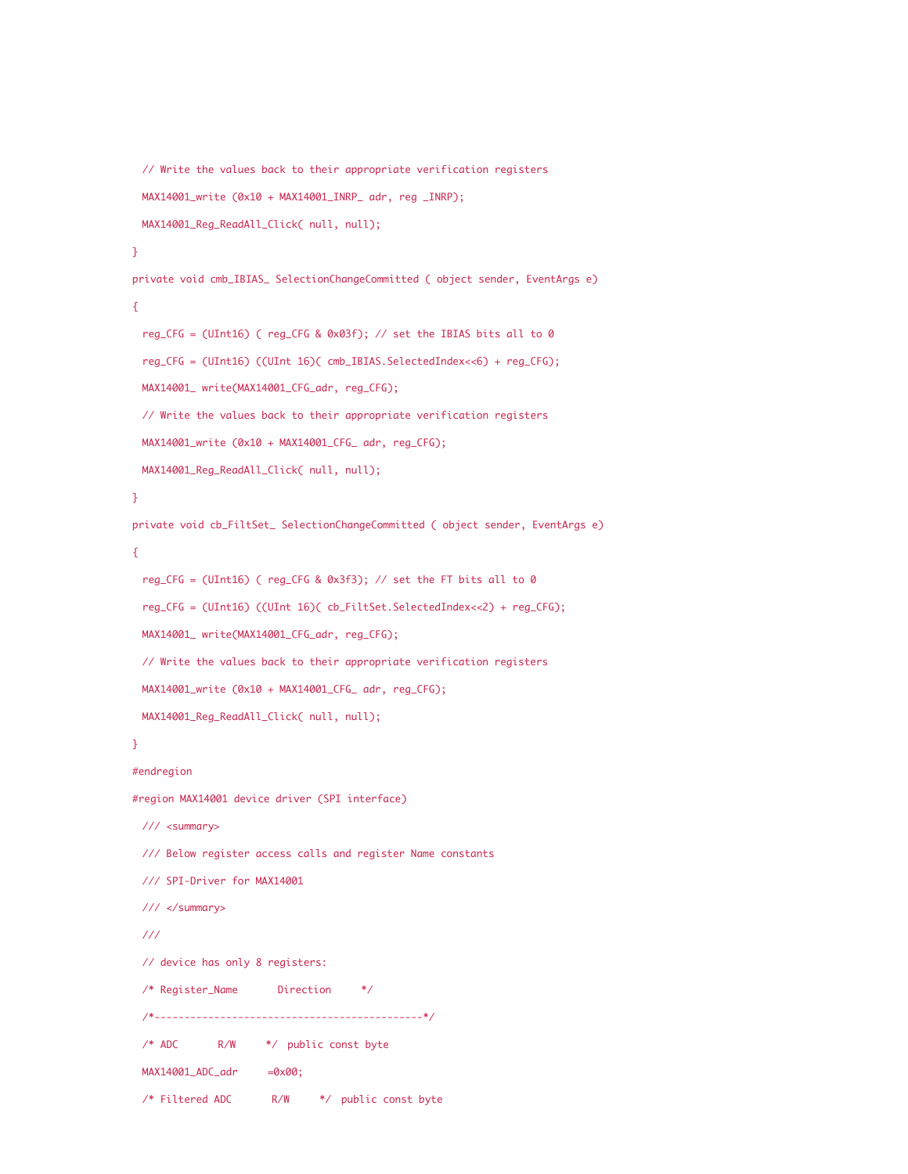```
// Write the values back to their appropriate verification registers
 MAX14001_write (0x10 + MAX14001_INRP_ adr, reg _INRP);
 MAX14001_Reg_ReadAll_Click( null, null);
}
private void cmb_IBIAS_ SelectionChangeCommitted ( object sender, EventArgs e)
{
 reg_CFG = (UInt16) ( reg_CFG & 0x03f); // set the IBIAS bits all to 0
 reg_CFG = (UInt16) ((UInt 16)( cmb_IBIAS.SelectedIndex<<6) + reg_CFG);
 MAX14001_ write(MAX14001_CFG_adr, reg_CFG);
 // Write the values back to their appropriate verification registers
 MAX14001_write (0x10 + MAX14001_CFG_ adr, reg_CFG);
 MAX14001_Reg_ReadAll_Click( null, null);
}
private void cb_FiltSet_ SelectionChangeCommitted ( object sender, EventArgs e)
{
 reg_CFG = (UInt16) ( reg_CFG & 0x3f3); // set the FT bits all to 0
 reg_CFG = (UInt16) ((UInt 16)( cb_FiltSet.SelectedIndex<<2) + reg_CFG);
 MAX14001_ write(MAX14001_CFG_adr, reg_CFG);
 // Write the values back to their appropriate verification registers
 MAX14001_write (0x10 + MAX14001_CFG_ adr, reg_CFG);
 MAX14001_Reg_ReadAll_Click( null, null);
}
#endregion
#region MAX14001 device driver (SPI interface)
 /// <summary>
 /// Below register access calls and register Name constants
 /// SPI-Driver for MAX14001
 /// </summary>
 ///
 // device has only 8 registers:
 /* Register_Name Direction */
  /*---------------------------------------------*/
 /* ADC R/W */ public const byte
 MAX14001_ADC_adr =0x00;
 /* Filtered ADC R/W */ public const byte
```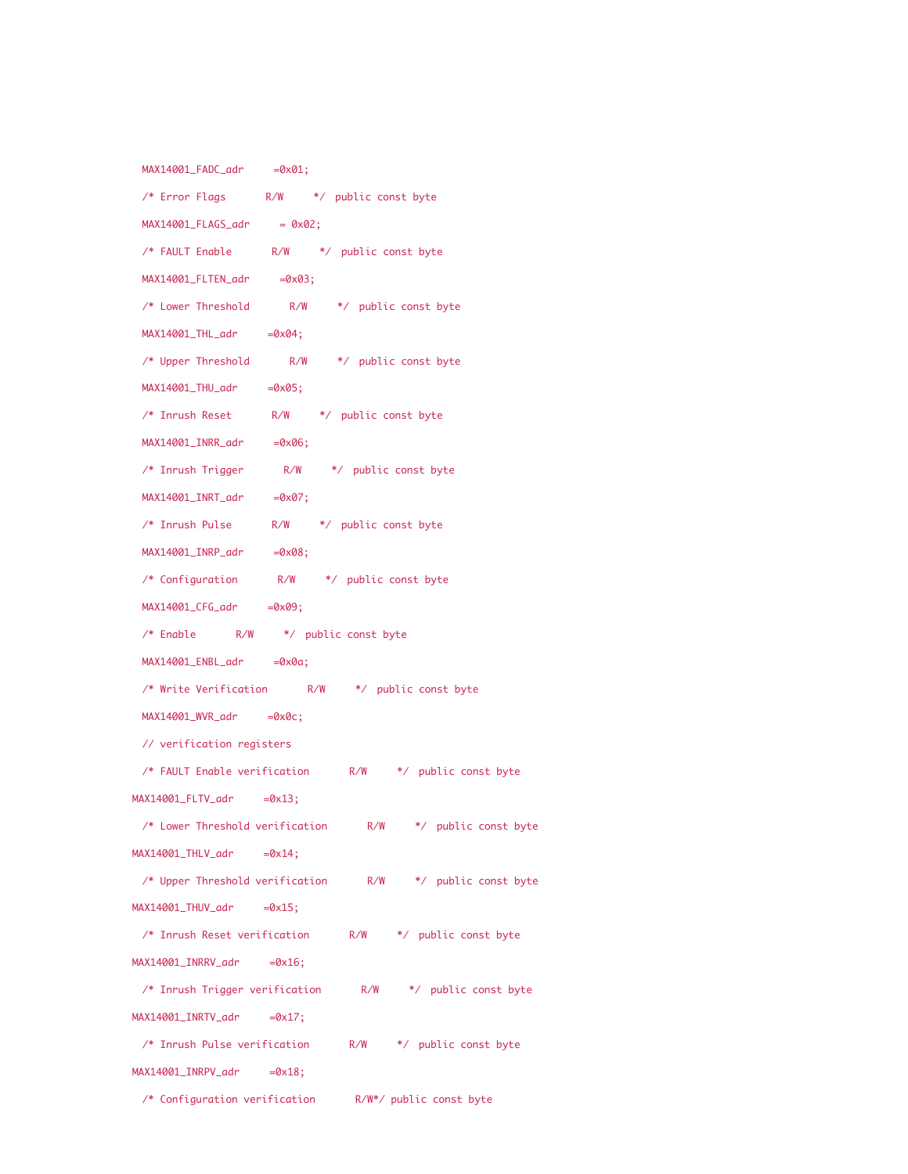| $MAX14001$ $FADC$ $adr$ $=0x01$ ;                        |  |  |
|----------------------------------------------------------|--|--|
| /* Error Flags R/W */ public const byte                  |  |  |
| $MAX14001_FLAGS_adr$ = 0x02;                             |  |  |
| /* FAULT Enable R/W */ public const byte                 |  |  |
| $MAX14001$ FLTEN_adr =0x03;                              |  |  |
| /* Lower Threshold R/W */ public const byte              |  |  |
| $MAX14001$ _THL_adr =0x04;                               |  |  |
| /* Upper Threshold R/W */ public const byte              |  |  |
| $MAX14001_THU_adr$ =0x05;                                |  |  |
| /* Inrush Reset R/W */ public const byte                 |  |  |
| $MAX14001_INRR\_adr$ =0x06;                              |  |  |
| /* Inrush Trigger R/W */ public const byte               |  |  |
| $MAX14001$ _INRT_adr =0x07;                              |  |  |
| /* Inrush Pulse R/W */ public const byte                 |  |  |
| $MAX14001$ _INRP_adr =0x08;                              |  |  |
| /* Configuration R/W */ public const byte                |  |  |
| MAX14001_CFG_adr =0x09;                                  |  |  |
| /* Enable R/W */ public const byte                       |  |  |
| MAX14001_ENBL_adr =0x0a;                                 |  |  |
| /* Write Verification R/W */ public const byte           |  |  |
| MAX14001_WVR_adr =0x0c;                                  |  |  |
| // verification registers                                |  |  |
| /* FAULT Enable verification M/W */ public const byte    |  |  |
| MAX14001_FLTV_adr =0x13;                                 |  |  |
| /* Lower Threshold verification R/W */ public const byte |  |  |
| $MAX14001_THLV_adr$ =0x14;                               |  |  |
| /* Upper Threshold verification M/W */ public const byte |  |  |
| $MAX14001_THUV_adr$ =0x15;                               |  |  |
| /* Inrush Reset verification M/W */ public const byte    |  |  |
| MAX14001_INRRV_adr =0x16;                                |  |  |
| /* Inrush Trigger verification M/W */ public const byte  |  |  |
| MAX14001_INRTV_adr =0x17;                                |  |  |
| /* Inrush Pulse verification M/W */ public const byte    |  |  |
| $MAX14001_LINRPV_adr$ =0x18;                             |  |  |
| /* Configuration verification R/W*/ public const byte    |  |  |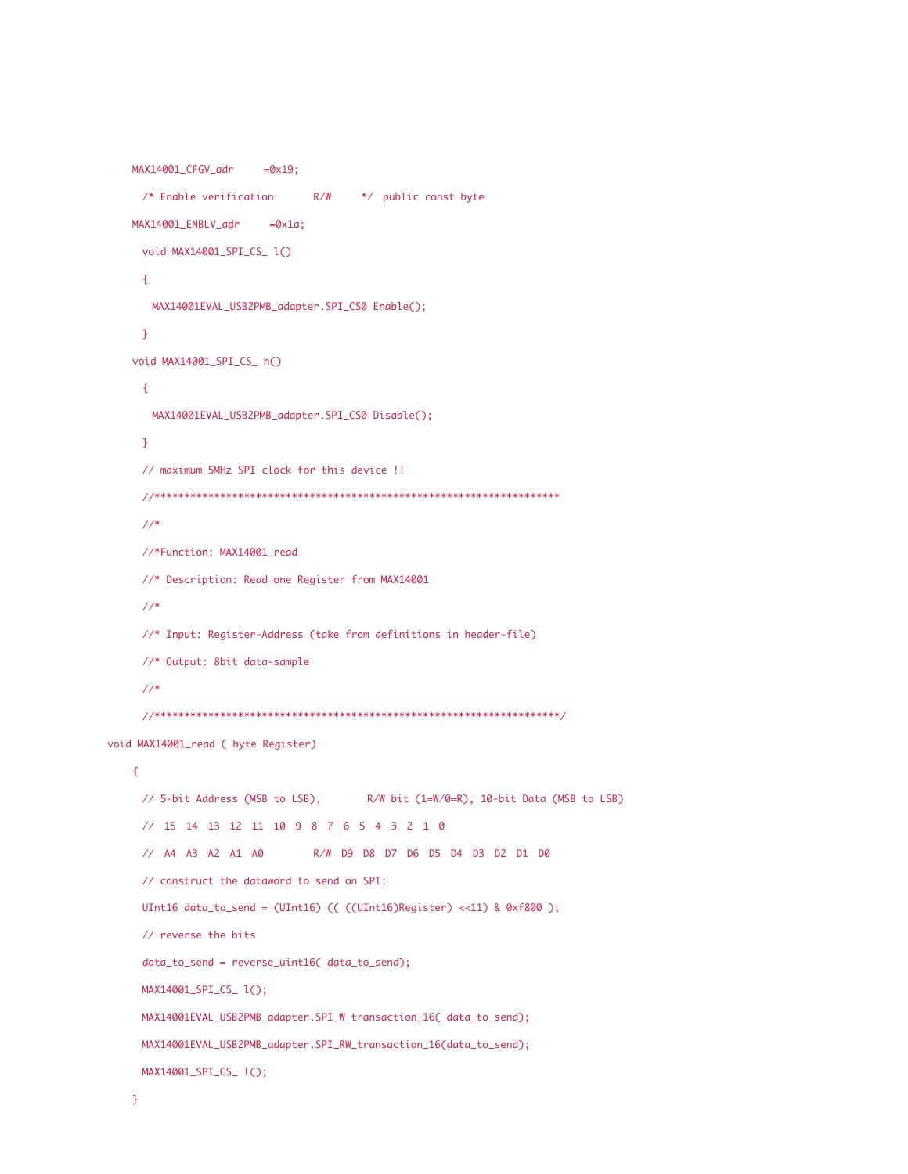```
MAX14001_CFGV_adr =0x19;
     /* Enable verification R/W */ public const byte
   MAX14001 ENBLV adr =0x1a;
     void MAX14001_SPI_CS_ l()
     {
      MAX14001EVAL_USB2PMB_adapter.SPI_CS0 Enable();
     }
   void MAX14001_SPI_CS_ h()
     {
      MAX14001EVAL_USB2PMB_adapter.SPI_CS0 Disable();
     }
     // maximum 5MHz SPI clock for this device !!
     //********************************************************************
     //*
     //*Function: MAX14001_read
     //* Description: Read one Register from MAX14001
     //*
     //* Input: Register-Address (take from definitions in header-file)
     //* Output: 8bit data-sample
     //*
     //********************************************************************/
void MAX14001_read ( byte Register)
   {
     // 5-bit Address (MSB to LSB), R/W bit (1=W/0=R), 10-bit Data (MSB to LSB)
     // 15 14 13 12 11 10 9 8 7 6 5 4 3 2 1 0
     // A4 A3 A2 A1 A0 R/W D9 D8 D7 D6 D5 D4 D3 D2 D1 D0
     // construct the dataword to send on SPI:
     UInt16 data_to_send = (UInt16) ((UInt16)Register) <<11) & 0xf800);
     // reverse the bits
     data_to_send = reverse_uint16( data_to_send);
     MAX14001_SPI_CS_ l();
     MAX14001EVAL_USB2PMB_adapter.SPI_W_transaction_16( data_to_send);
     MAX14001EVAL_USB2PMB_adapter.SPI_RW_transaction_16(data_to_send);
     MAX14001_SPI_CS_ l();
```

```
}
```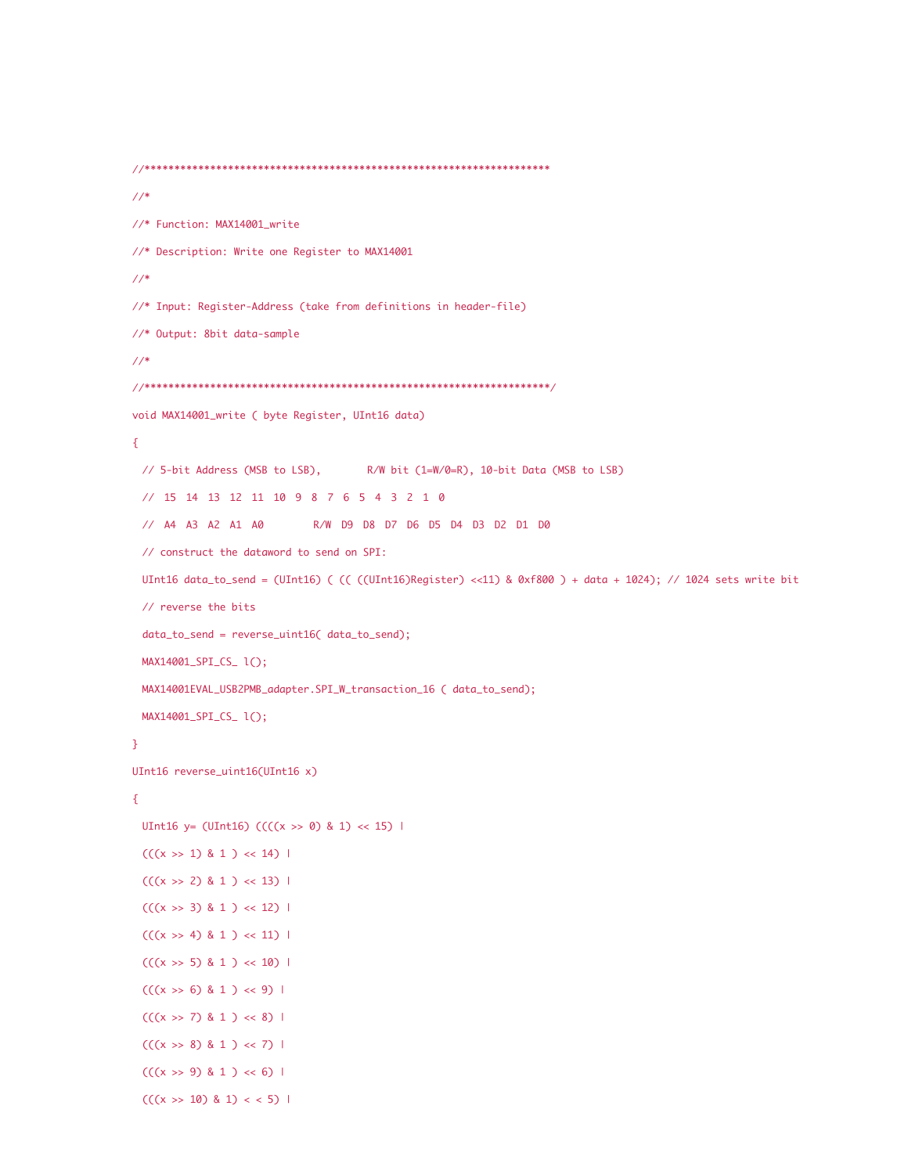```
//********************************************************************
//*
//* Function: MAX14001_write
//* Description: Write one Register to MAX14001
//*
//* Input: Register-Address (take from definitions in header-file)
//* Output: 8bit data-sample
//*
//********************************************************************/
void MAX14001_write ( byte Register, UInt16 data)
{
 // 5-bit Address (MSB to LSB), R/W bit (1=W/0=R), 10-bit Data (MSB to LSB)
 // 15 14 13 12 11 10 9 8 7 6 5 4 3 2 1 0
 // A4 A3 A2 A1 A0 R/W D9 D8 D7 D6 D5 D4 D3 D2 D1 D0
 // construct the dataword to send on SPI:
 UInt16 data_to_send = (UInt16) ( (( ((UInt16)Register) <<11) & 0xf800 ) + data + 1024); // 1024 sets write bit
 // reverse the bits
 data_to_send = reverse_uint16( data_to_send);
 MAX14001_SPI_CS_ l();
 MAX14001EVAL_USB2PMB_adapter.SPI_W_transaction_16 ( data_to_send);
 MAX14001_SPI_CS_ l();
}
UInt16 reverse_uint16(UInt16 x)
{
 UInt16 y= (UInt16) ((((x >> 0) & 1) << 15) |
 (((x \gg 1) \& 1) \ll 14)(((x \gg 2) 8 1) \ll 13)(((x \gg 3) \& 1) \ll 12)(((x \gg 4) \& 1) \ll 11)(((x \gg 5) \& 1) \ll 10)(((x \rightarrow 6) \& 1) \leftrightarrow 9) |
 (((x \gg 7) \& 1) \ll 8) |
 (((x \gg 8) 8 1) \ll 7)(((x \rightarrow 9) \& 1) \leftrightarrow 6) |
 (((x \gg 10) \& 1) \lt \lt 5)
```